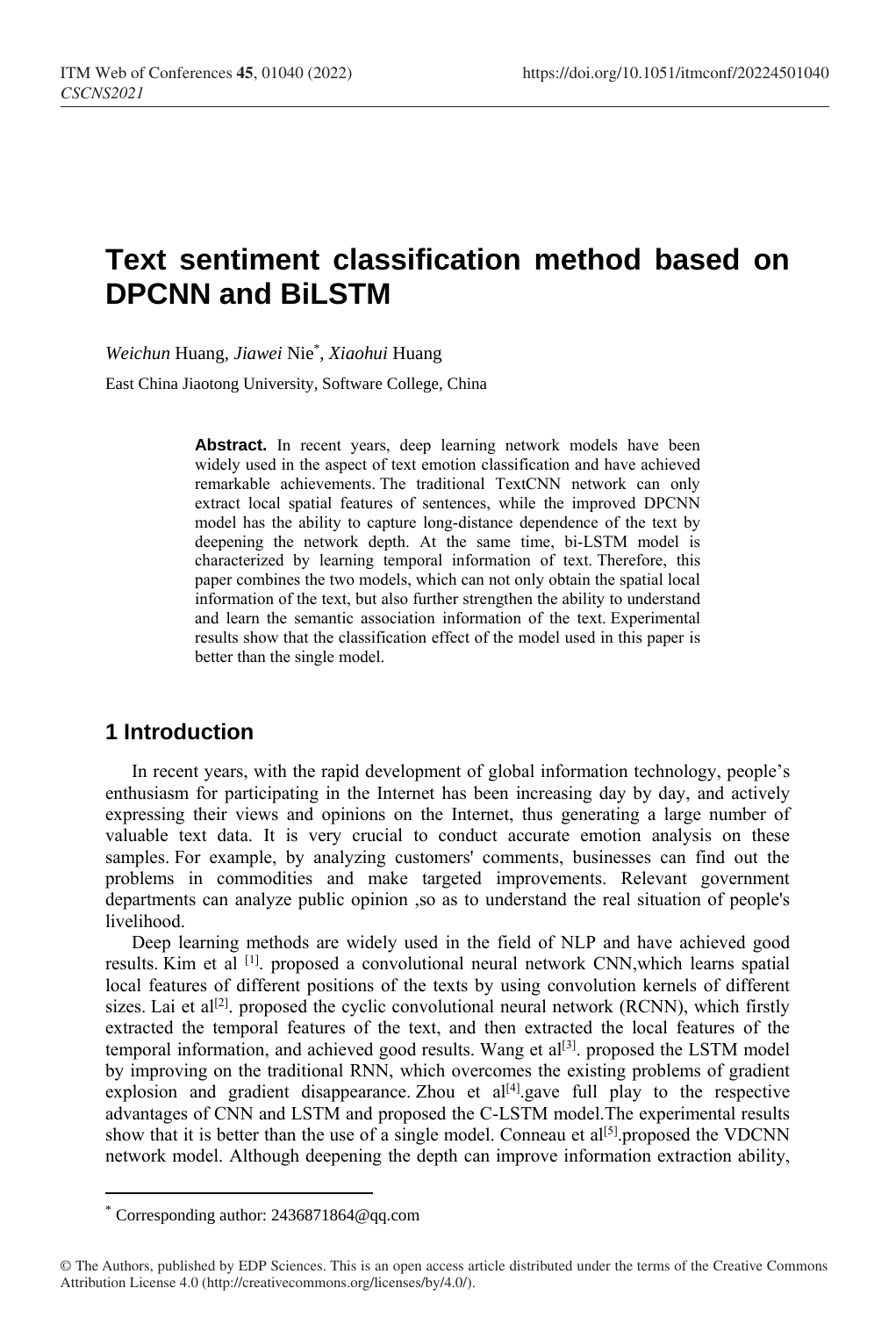# **Text sentiment classification method based on DPCNN and BiLSTM**

*Weichun* Huang, *Jiawei* Nie\* , *Xiaohui* Huang

East China Jiaotong University, Software College, China

Abstract. In recent years, deep learning network models have been widely used in the aspect of text emotion classification and have achieved remarkable achievements. The traditional TextCNN network can only extract local spatial features of sentences, while the improved DPCNN model has the ability to capture long-distance dependence of the text by deepening the network depth. At the same time, bi-LSTM model is characterized by learning temporal information of text. Therefore, this paper combines the two models, which can not only obtain the spatial local information of the text, but also further strengthen the ability to understand and learn the semantic association information of the text. Experimental results show that the classification effect of the model used in this paper is better than the single model.

## **1 Introduction**

In recent years, with the rapid development of global information technology, people's enthusiasm for participating in the Internet has been increasing day by day, and actively expressing their views and opinions on the Internet, thus generating a large number of valuable text data. It is very crucial to conduct accurate emotion analysis on these samples. For example, by analyzing customers' comments, businesses can find out the problems in commodities and make targeted improvements. Relevant government departments can analyze public opinion ,so as to understand the real situation of people's livelihood.

Deep learning methods are widely used in the field of NLP and have achieved good results. Kim et al <sup>[1]</sup>. proposed a convolutional neural network CNN, which learns spatial local features of different positions of the texts by using convolution kernels of different sizes. Lai et al<sup>[2]</sup>. proposed the cyclic convolutional neural network (RCNN), which firstly extracted the temporal features of the text, and then extracted the local features of the temporal information, and achieved good results. Wang et al<sup>[3]</sup>. proposed the LSTM model by improving on the traditional RNN, which overcomes the existing problems of gradient explosion and gradient disappearance. Zhou et  $al^{[4]}$  gave full play to the respective advantages of CNN and LSTM and proposed the C-LSTM model.The experimental results show that it is better than the use of a single model. Conneau et  $al^{[5]}$  proposed the VDCNN network model. Although deepening the depth can improve information extraction ability,

 $\overline{a}$ 

<sup>\*</sup> Corresponding author: [2436871864@q](mailto:author@email.org)q.com

<sup>©</sup> The Authors, published by EDP Sciences. This is an open access article distributed under the terms of the Creative Commons Attribution License 4.0 (http://creativecommons.org/licenses/by/4.0/).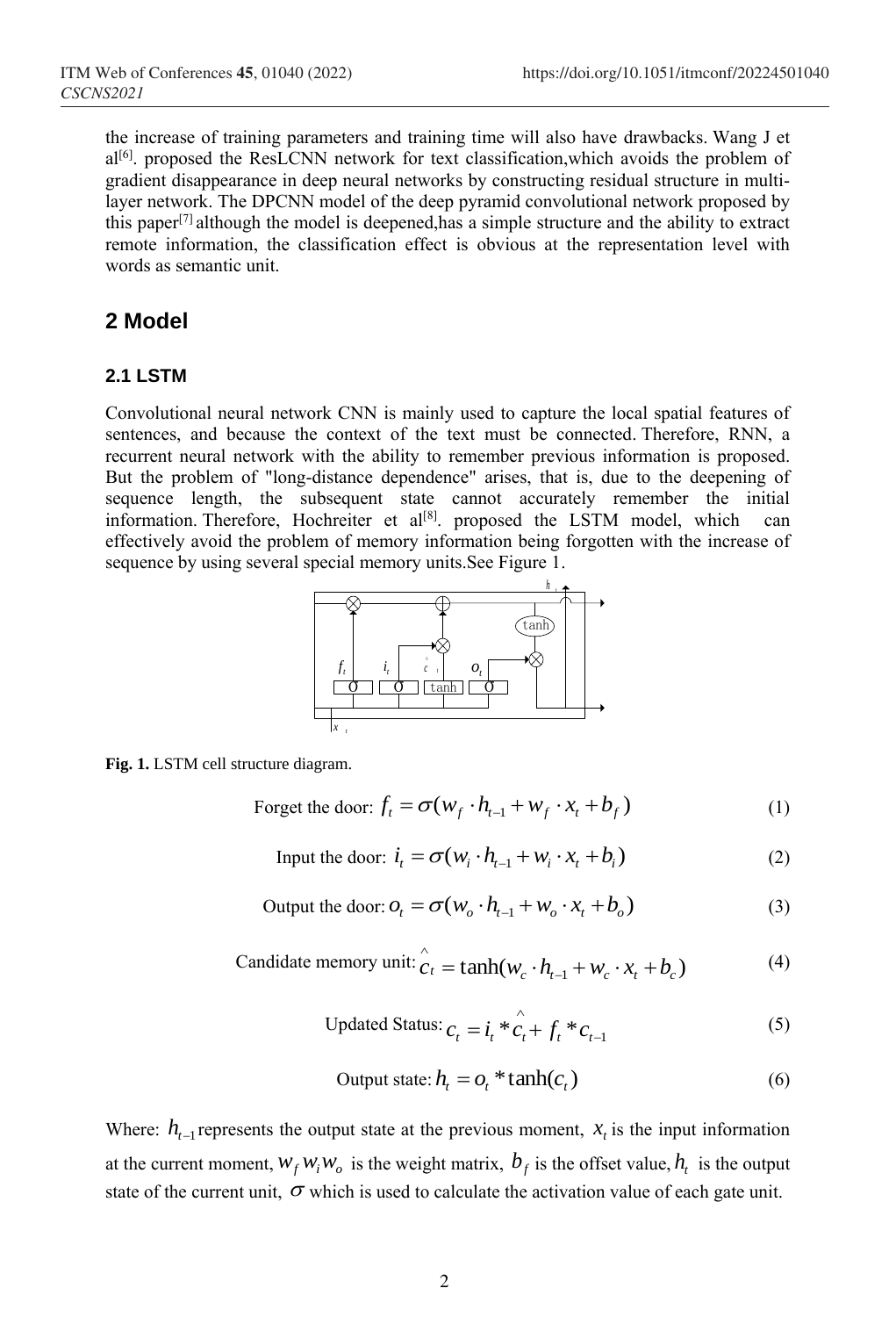the increase of training parameters and training time will also have drawbacks. Wang J et  $al^{[6]}$ . proposed the ResLCNN network for text classification, which avoids the problem of gradient disappearance in deep neural networks by constructing residual structure in multilayer network. The DPCNN model of the deep pyramid convolutional network proposed by this paper<sup>[7]</sup> although the model is deepened, has a simple structure and the ability to extract remote information, the classification effect is obvious at the representation level with words as semantic unit.

## **2 Model**

#### **2.1 LSTM**

Convolutional neural network CNN is mainly used to capture the local spatial features of sentences, and because the context of the text must be connected. Therefore, RNN, a recurrent neural network with the ability to remember previous information is proposed. But the problem of "long-distance dependence" arises, that is, due to the deepening of sequence length, the subsequent state cannot accurately remember the initial information. Therefore, Hochreiter et  $al^{[8]}$ . proposed the LSTM model, which can effectively avoid the problem of memory information being forgotten with the increase of sequence by using several special memory units.See Figure 1.



**Fig. 1.** LSTM cell structure diagram.

Forget the door: 
$$
f_t = \sigma(w_f \cdot h_{t-1} + w_f \cdot x_t + b_f)
$$
 (1)

Input the door: 
$$
i_t = \sigma(w_i \cdot h_{t-1} + w_i \cdot x_t + b_i)
$$
 (2)

Output the door: 
$$
o_t = \sigma(w_o \cdot h_{t-1} + w_o \cdot x_t + b_o)
$$
 (3)

Candidate memory unit: 
$$
\hat{c}_t = \tanh(w_c \cdot h_{t-1} + w_c \cdot x_t + b_c)
$$
\n(4)

$$
\text{UpdateS} \text{status: } c_t = i_t \times c_t + f_t \times c_{t-1} \tag{5}
$$

Output state: 
$$
h_t = o_t * \tanh(c_t)
$$
 (6)

Where:  $h_{t-1}$  represents the output state at the previous moment,  $x_t$  is the input information at the current moment,  $w_f w_i w_o$  is the weight matrix,  $b_f$  is the offset value,  $h_t$  is the output state of the current unit,  $\sigma$  which is used to calculate the activation value of each gate unit.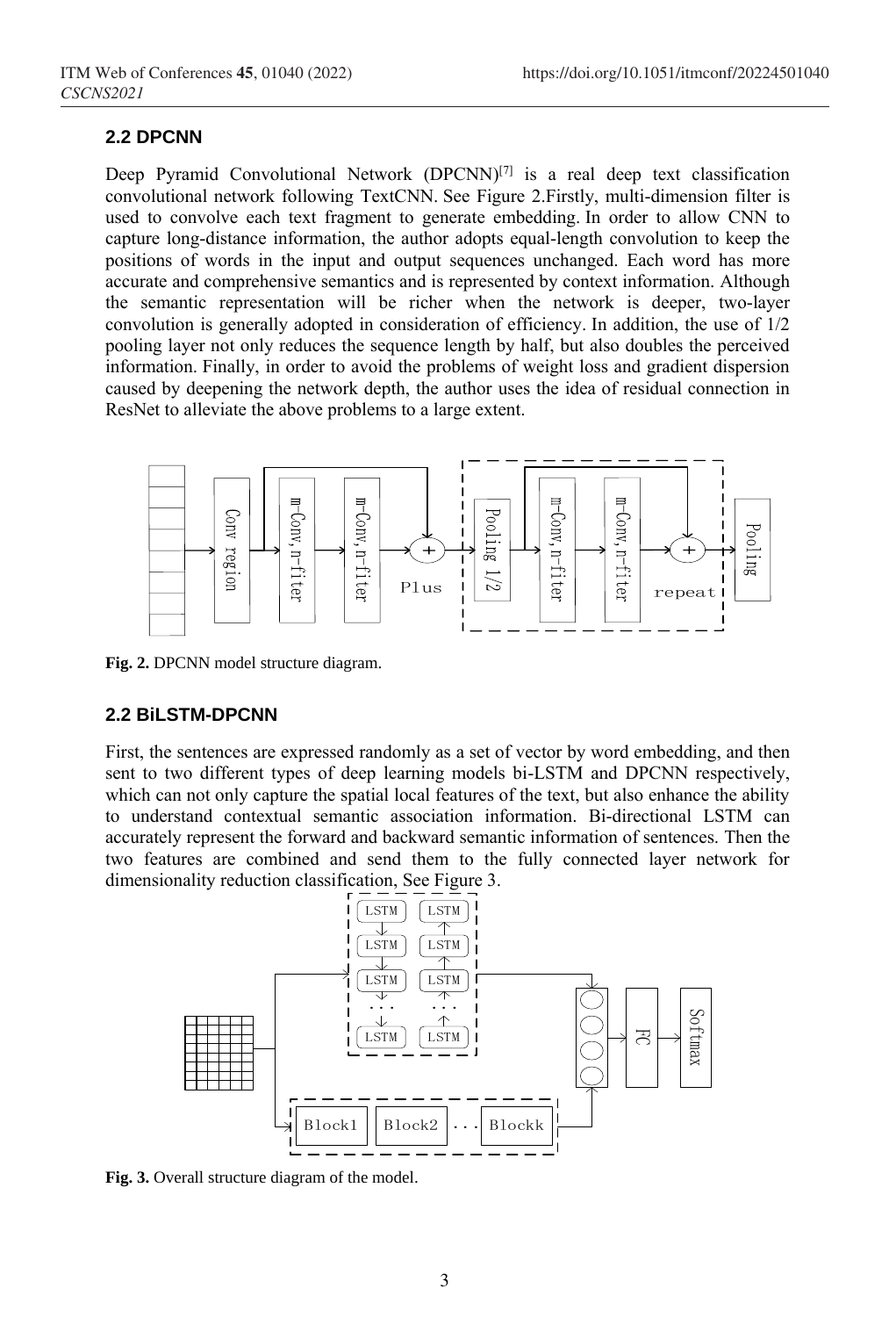#### **2.2 DPCNN**

Deep Pyramid Convolutional Network (DPCNN)<sup>[7]</sup> is a real deep text classification convolutional network following TextCNN. See Figure 2.Firstly, multi-dimension filter is used to convolve each text fragment to generate embedding. In order to allow CNN to capture long-distance information, the author adopts equal-length convolution to keep the positions of words in the input and output sequences unchanged. Each word has more accurate and comprehensive semantics and is represented by context information. Although the semantic representation will be richer when the network is deeper, two-layer convolution is generally adopted in consideration of efficiency. In addition, the use of 1/2 pooling layer not only reduces the sequence length by half, but also doubles the perceived information. Finally, in order to avoid the problems of weight loss and gradient dispersion caused by deepening the network depth, the author uses the idea of residual connection in ResNet to alleviate the above problems to a large extent.



**Fig. 2.** DPCNN model structure diagram.

#### **2.2 BiLSTM-DPCNN**

First, the sentences are expressed randomly as a set of vector by word embedding, and then sent to two different types of deep learning models bi-LSTM and DPCNN respectively, which can not only capture the spatial local features of the text, but also enhance the ability to understand contextual semantic association information. Bi-directional LSTM can accurately represent the forward and backward semantic information of sentences. Then the two features are combined and send them to the fully connected layer network for dimensionality reduction classification, See Figure 3.



**Fig. 3.** Overall structure diagram of the model.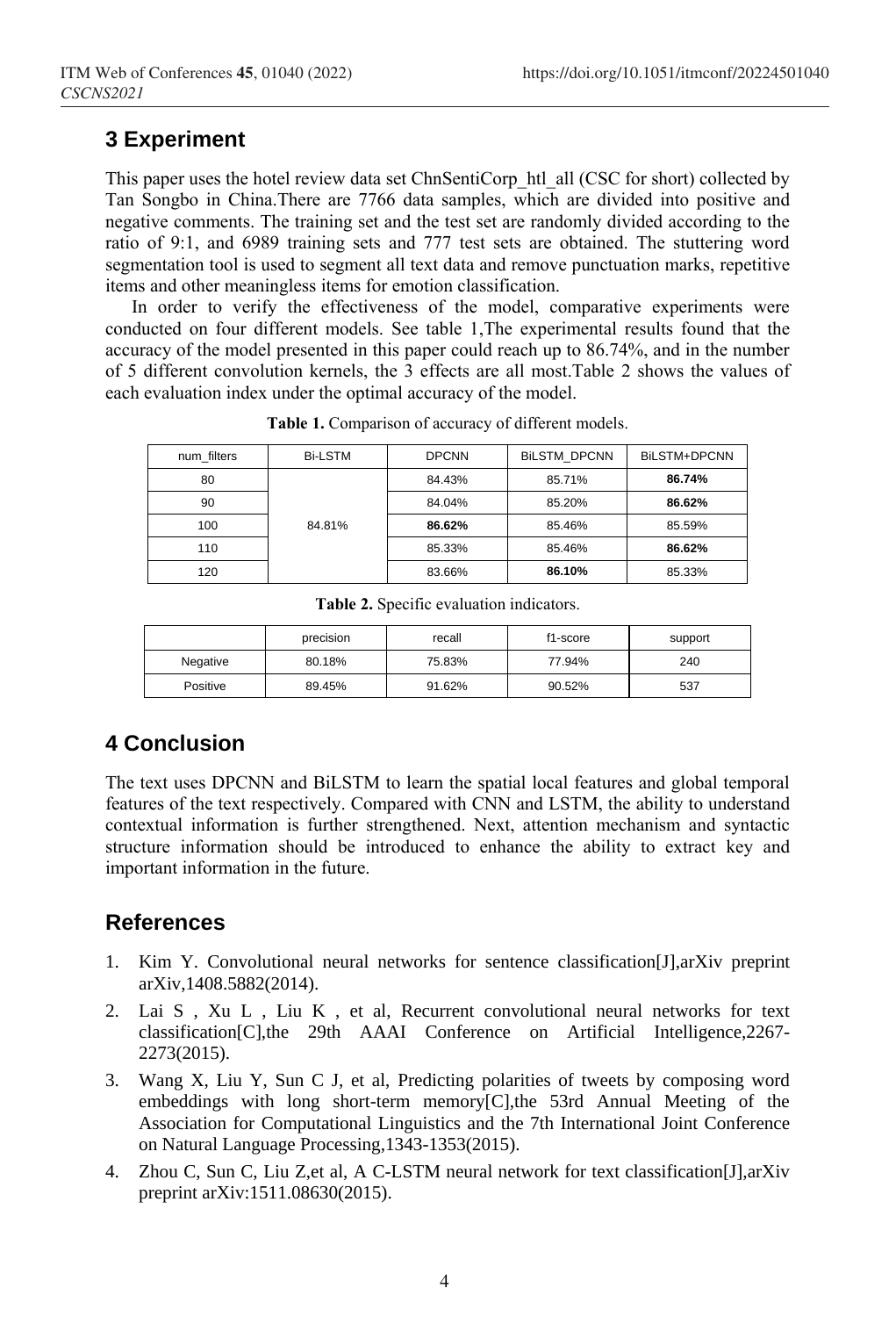# **3 Experiment**

This paper uses the hotel review data set ChnSentiCorp\_htl\_all (CSC for short) collected by Tan Songbo in China.There are 7766 data samples, which are divided into positive and negative comments. The training set and the test set are randomly divided according to the ratio of 9:1, and 6989 training sets and 777 test sets are obtained. The stuttering word segmentation tool is used to segment all text data and remove punctuation marks, repetitive items and other meaningless items for emotion classification.

In order to verify the effectiveness of the model, comparative experiments were conducted on four different models. See table 1,The experimental results found that the accuracy of the model presented in this paper could reach up to 86.74%, and in the number of 5 different convolution kernels, the 3 effects are all most.Table 2 shows the values of each evaluation index under the optimal accuracy of the model.

| num filters | <b>Bi-LSTM</b> | <b>DPCNN</b> | <b>BILSTM DPCNN</b> | BILSTM+DPCNN |
|-------------|----------------|--------------|---------------------|--------------|
| 80          |                | 84.43%       | 85.71%              | 86.74%       |
| 90          |                | 84.04%       | 85.20%              | 86.62%       |
| 100         | 84.81%         | 86.62%       | 85.46%              | 85.59%       |
| 110         |                | 85.33%       | 85.46%              | 86.62%       |
| 120         |                | 83.66%       | 86.10%              | 85.33%       |

**Table 1.** Comparison of accuracy of different models.

|  |  |  | <b>Table 2.</b> Specific evaluation indicators. |
|--|--|--|-------------------------------------------------|
|--|--|--|-------------------------------------------------|

|          | precision | recall | f1-score | support |
|----------|-----------|--------|----------|---------|
| Negative | 80.18%    | 75.83% | 77.94%   | 240     |
| Positive | 89.45%    | 91.62% | 90.52%   | 537     |

# **4 Conclusion**

The text uses DPCNN and BiLSTM to learn the spatial local features and global temporal features of the text respectively. Compared with CNN and LSTM, the ability to understand contextual information is further strengthened. Next, attention mechanism and syntactic structure information should be introduced to enhance the ability to extract key and important information in the future.

## **References**

- 1. Kim Y. Convolutional neural networks for sentence classification[J],arXiv preprint arXiv,1408.5882(2014).
- 2. Lai S , Xu L , Liu K , et al, Recurrent convolutional neural networks for text classification[C],the 29th AAAI Conference on Artificial Intelligence,2267- 2273(2015).
- 3. Wang X, Liu Y, Sun C J, et al, Predicting polarities of tweets by composing word embeddings with long short-term memory[C],the 53rd Annual Meeting of the Association for Computational Linguistics and the 7th International Joint Conference on Natural Language Processing,1343-1353(2015).
- 4. Zhou C, Sun C, Liu Z,et al, A C-LSTM neural network for text classification[J],arXiv preprint arXiv:1511.08630(2015).